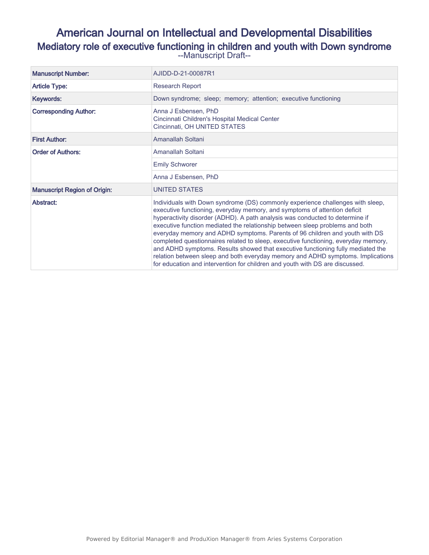# American Journal on Intellectual and Developmental Disabilities Mediatory role of executive functioning in children and youth with Down syndrome --Manuscript Draft--

| <b>Manuscript Number:</b>           | AJIDD-D-21-00087R1                                                                                                                                                                                                                                                                                                                                                                                                                                                                                                                                                                                                                                                                                                                                     |
|-------------------------------------|--------------------------------------------------------------------------------------------------------------------------------------------------------------------------------------------------------------------------------------------------------------------------------------------------------------------------------------------------------------------------------------------------------------------------------------------------------------------------------------------------------------------------------------------------------------------------------------------------------------------------------------------------------------------------------------------------------------------------------------------------------|
| <b>Article Type:</b>                | <b>Research Report</b>                                                                                                                                                                                                                                                                                                                                                                                                                                                                                                                                                                                                                                                                                                                                 |
| Keywords:                           | Down syndrome; sleep; memory; attention; executive functioning                                                                                                                                                                                                                                                                                                                                                                                                                                                                                                                                                                                                                                                                                         |
| <b>Corresponding Author:</b>        | Anna J Esbensen, PhD<br>Cincinnati Children's Hospital Medical Center<br>Cincinnati, OH UNITED STATES                                                                                                                                                                                                                                                                                                                                                                                                                                                                                                                                                                                                                                                  |
| <b>First Author:</b>                | Amanallah Soltani                                                                                                                                                                                                                                                                                                                                                                                                                                                                                                                                                                                                                                                                                                                                      |
| <b>Order of Authors:</b>            | Amanallah Soltani                                                                                                                                                                                                                                                                                                                                                                                                                                                                                                                                                                                                                                                                                                                                      |
|                                     | <b>Emily Schworer</b>                                                                                                                                                                                                                                                                                                                                                                                                                                                                                                                                                                                                                                                                                                                                  |
|                                     | Anna J Esbensen, PhD                                                                                                                                                                                                                                                                                                                                                                                                                                                                                                                                                                                                                                                                                                                                   |
| <b>Manuscript Region of Origin:</b> | <b>UNITED STATES</b>                                                                                                                                                                                                                                                                                                                                                                                                                                                                                                                                                                                                                                                                                                                                   |
| Abstract:                           | Individuals with Down syndrome (DS) commonly experience challenges with sleep,<br>executive functioning, everyday memory, and symptoms of attention deficit<br>hyperactivity disorder (ADHD). A path analysis was conducted to determine if<br>executive function mediated the relationship between sleep problems and both<br>everyday memory and ADHD symptoms. Parents of 96 children and youth with DS<br>completed questionnaires related to sleep, executive functioning, everyday memory,<br>and ADHD symptoms. Results showed that executive functioning fully mediated the<br>relation between sleep and both everyday memory and ADHD symptoms. Implications<br>for education and intervention for children and youth with DS are discussed. |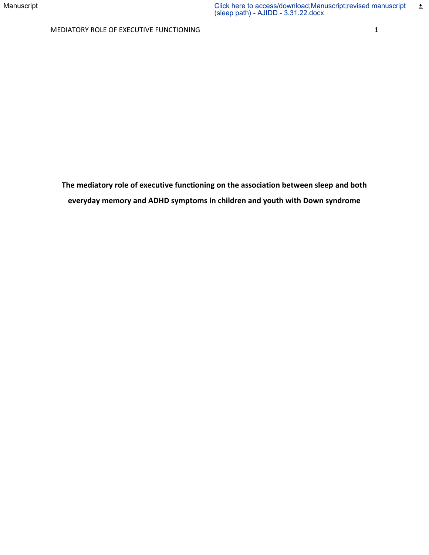**The mediatory role of executive functioning on the association between sleep and both everyday memory and ADHD symptoms in children and youth with Down syndrome**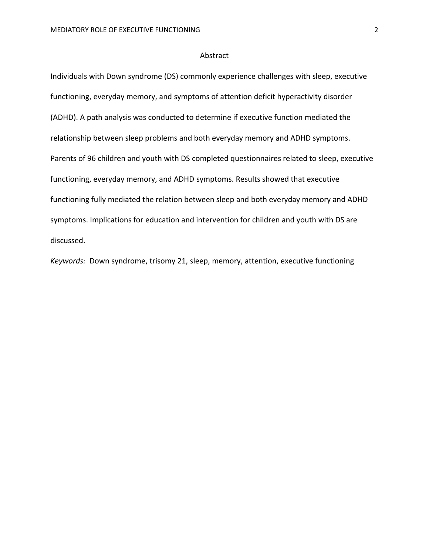#### Abstract

Individuals with Down syndrome (DS) commonly experience challenges with sleep, executive functioning, everyday memory, and symptoms of attention deficit hyperactivity disorder (ADHD). A path analysis was conducted to determine if executive function mediated the relationship between sleep problems and both everyday memory and ADHD symptoms. Parents of 96 children and youth with DS completed questionnaires related to sleep, executive functioning, everyday memory, and ADHD symptoms. Results showed that executive functioning fully mediated the relation between sleep and both everyday memory and ADHD symptoms. Implications for education and intervention for children and youth with DS are discussed.

*Keywords:* Down syndrome, trisomy 21, sleep, memory, attention, executive functioning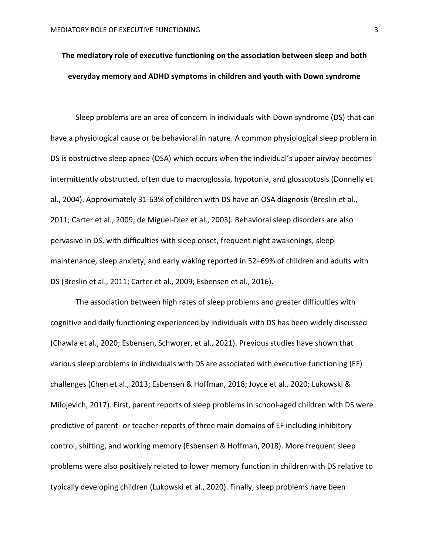# **The mediatory role of executive functioning on the association between sleep and both everyday memory and ADHD symptoms in children and youth with Down syndrome**

Sleep problems are an area of concern in individuals with Down syndrome (DS) that can have a physiological cause or be behavioral in nature. A common physiological sleep problem in DS is obstructive sleep apnea (OSA) which occurs when the individual's upper airway becomes intermittently obstructed, often due to macroglossia, hypotonia, and glossoptosis (Donnelly et al., 2004). Approximately 31-63% of children with DS have an OSA diagnosis (Breslin et al., 2011; Carter et al., 2009; de Miguel-Diez et al., 2003). Behavioral sleep disorders are also pervasive in DS, with difficulties with sleep onset, frequent night awakenings, sleep maintenance, sleep anxiety, and early waking reported in 52–69% of children and adults with DS (Breslin et al., 2011; Carter et al., 2009; Esbensen et al., 2016).

The association between high rates of sleep problems and greater difficulties with cognitive and daily functioning experienced by individuals with DS has been widely discussed (Chawla et al., 2020; Esbensen, Schworer, et al., 2021). Previous studies have shown that various sleep problems in individuals with DS are associated with executive functioning (EF) challenges (Chen et al., 2013; Esbensen & Hoffman, 2018; Joyce et al., 2020; Lukowski & Milojevich, 2017). First, parent reports of sleep problems in school-aged children with DS were predictive of parent- or teacher-reports of three main domains of EF including inhibitory control, shifting, and working memory (Esbensen & Hoffman, 2018). More frequent sleep problems were also positively related to lower memory function in children with DS relative to typically developing children (Lukowski et al., 2020). Finally, sleep problems have been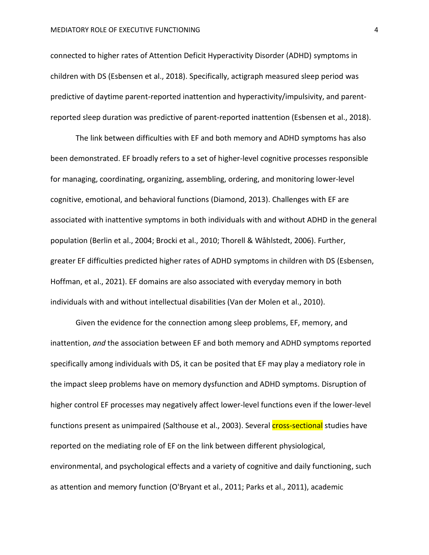connected to higher rates of Attention Deficit Hyperactivity Disorder (ADHD) symptoms in children with DS (Esbensen et al., 2018). Specifically, actigraph measured sleep period was predictive of daytime parent-reported inattention and hyperactivity/impulsivity, and parentreported sleep duration was predictive of parent-reported inattention (Esbensen et al., 2018).

The link between difficulties with EF and both memory and ADHD symptoms has also been demonstrated. EF broadly refers to a set of higher-level cognitive processes responsible for managing, coordinating, organizing, assembling, ordering, and monitoring lower-level cognitive, emotional, and behavioral functions (Diamond, 2013). Challenges with EF are associated with inattentive symptoms in both individuals with and without ADHD in the general population (Berlin et al., 2004; Brocki et al., 2010; Thorell & Wåhlstedt, 2006). Further, greater EF difficulties predicted higher rates of ADHD symptoms in children with DS (Esbensen, Hoffman, et al., 2021). EF domains are also associated with everyday memory in both individuals with and without intellectual disabilities (Van der Molen et al., 2010).

Given the evidence for the connection among sleep problems, EF, memory, and inattention, *and* the association between EF and both memory and ADHD symptoms reported specifically among individuals with DS, it can be posited that EF may play a mediatory role in the impact sleep problems have on memory dysfunction and ADHD symptoms. Disruption of higher control EF processes may negatively affect lower-level functions even if the lower-level functions present as unimpaired (Salthouse et al., 2003). Several **cross-sectional** studies have reported on the mediating role of EF on the link between different physiological, environmental, and psychological effects and a variety of cognitive and daily functioning, such as attention and memory function (O'Bryant et al., 2011; Parks et al., 2011), academic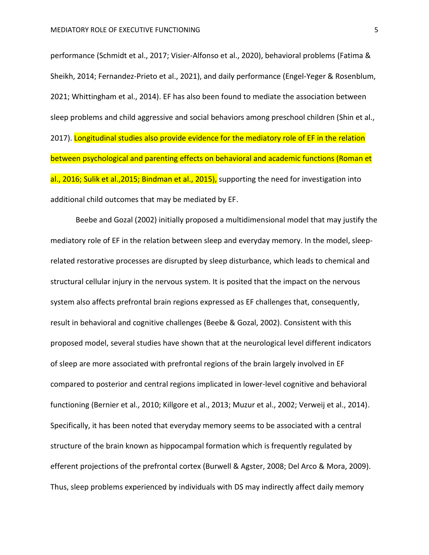performance (Schmidt et al., 2017; Visier-Alfonso et al., 2020), behavioral problems (Fatima & Sheikh, 2014; Fernandez-Prieto et al., 2021), and daily performance (Engel-Yeger & Rosenblum, 2021; Whittingham et al., 2014). EF has also been found to mediate the association between sleep problems and child aggressive and social behaviors among preschool children (Shin et al., 2017). Longitudinal studies also provide evidence for the mediatory role of EF in the relation between psychological and parenting effects on behavioral and academic functions (Roman et al., 2016; Sulik et al., 2015; Bindman et al., 2015), supporting the need for investigation into additional child outcomes that may be mediated by EF.

Beebe and Gozal (2002) initially proposed a multidimensional model that may justify the mediatory role of EF in the relation between sleep and everyday memory. In the model, sleeprelated restorative processes are disrupted by sleep disturbance, which leads to chemical and structural cellular injury in the nervous system. It is posited that the impact on the nervous system also affects prefrontal brain regions expressed as EF challenges that, consequently, result in behavioral and cognitive challenges (Beebe & Gozal, 2002). Consistent with this proposed model, several studies have shown that at the neurological level different indicators of sleep are more associated with prefrontal regions of the brain largely involved in EF compared to posterior and central regions implicated in lower-level cognitive and behavioral functioning (Bernier et al., 2010; Killgore et al., 2013; Muzur et al., 2002; Verweij et al., 2014). Specifically, it has been noted that everyday memory seems to be associated with a central structure of the brain known as hippocampal formation which is frequently regulated by efferent projections of the prefrontal cortex (Burwell & Agster, 2008; Del Arco & Mora, 2009). Thus, sleep problems experienced by individuals with DS may indirectly affect daily memory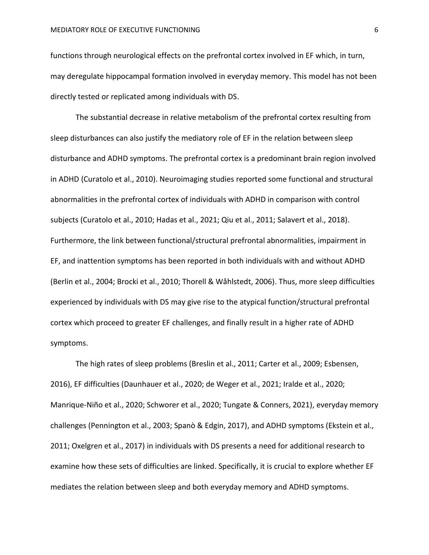functions through neurological effects on the prefrontal cortex involved in EF which, in turn, may deregulate hippocampal formation involved in everyday memory. This model has not been directly tested or replicated among individuals with DS.

The substantial decrease in relative metabolism of the prefrontal cortex resulting from sleep disturbances can also justify the mediatory role of EF in the relation between sleep disturbance and ADHD symptoms. The prefrontal cortex is a predominant brain region involved in ADHD (Curatolo et al., 2010). Neuroimaging studies reported some functional and structural abnormalities in the prefrontal cortex of individuals with ADHD in comparison with control subjects (Curatolo et al., 2010; Hadas et al., 2021; Qiu et al., 2011; Salavert et al., 2018). Furthermore, the link between functional/structural prefrontal abnormalities, impairment in EF, and inattention symptoms has been reported in both individuals with and without ADHD (Berlin et al., 2004; Brocki et al., 2010; Thorell & Wåhlstedt, 2006). Thus, more sleep difficulties experienced by individuals with DS may give rise to the atypical function/structural prefrontal cortex which proceed to greater EF challenges, and finally result in a higher rate of ADHD symptoms.

The high rates of sleep problems (Breslin et al., 2011; Carter et al., 2009; Esbensen, 2016), EF difficulties (Daunhauer et al., 2020; de Weger et al., 2021; Iralde et al., 2020; Manrique-Niño et al., 2020; Schworer et al., 2020; Tungate & Conners, 2021), everyday memory challenges (Pennington et al., 2003; Spanò & Edgin, 2017), and ADHD symptoms (Ekstein et al., 2011; Oxelgren et al., 2017) in individuals with DS presents a need for additional research to examine how these sets of difficulties are linked. Specifically, it is crucial to explore whether EF mediates the relation between sleep and both everyday memory and ADHD symptoms.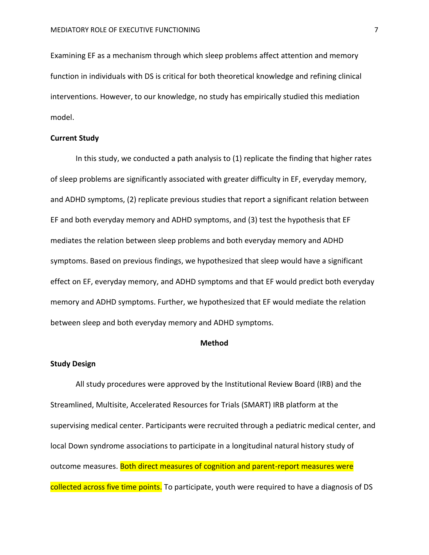Examining EF as a mechanism through which sleep problems affect attention and memory function in individuals with DS is critical for both theoretical knowledge and refining clinical interventions. However, to our knowledge, no study has empirically studied this mediation model.

#### **Current Study**

In this study, we conducted a path analysis to (1) replicate the finding that higher rates of sleep problems are significantly associated with greater difficulty in EF, everyday memory, and ADHD symptoms, (2) replicate previous studies that report a significant relation between EF and both everyday memory and ADHD symptoms, and (3) test the hypothesis that EF mediates the relation between sleep problems and both everyday memory and ADHD symptoms. Based on previous findings, we hypothesized that sleep would have a significant effect on EF, everyday memory, and ADHD symptoms and that EF would predict both everyday memory and ADHD symptoms. Further, we hypothesized that EF would mediate the relation between sleep and both everyday memory and ADHD symptoms.

# **Method**

#### **Study Design**

All study procedures were approved by the Institutional Review Board (IRB) and the Streamlined, Multisite, Accelerated Resources for Trials (SMART) IRB platform at the supervising medical center. Participants were recruited through a pediatric medical center, and local Down syndrome associations to participate in a longitudinal natural history study of outcome measures. Both direct measures of cognition and parent-report measures were collected across five time points. To participate, youth were required to have a diagnosis of DS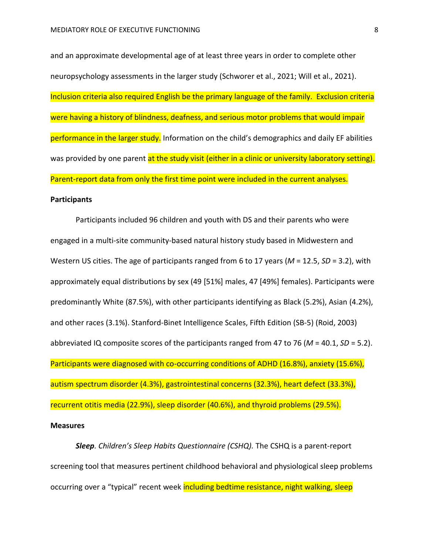and an approximate developmental age of at least three years in order to complete other neuropsychology assessments in the larger study (Schworer et al., 2021; Will et al., 2021). Inclusion criteria also required English be the primary language of the family. Exclusion criteria were having a history of blindness, deafness, and serious motor problems that would impair performance in the larger study. Information on the child's demographics and daily EF abilities was provided by one parent at the study visit (either in a clinic or university laboratory setting). Parent-report data from only the first time point were included in the current analyses.

#### **Participants**

Participants included 96 children and youth with DS and their parents who were engaged in a multi-site community-based natural history study based in Midwestern and Western US cities. The age of participants ranged from 6 to 17 years (*M* = 12.5, *SD* = 3.2), with approximately equal distributions by sex (49 [51%] males, 47 [49%] females). Participants were predominantly White (87.5%), with other participants identifying as Black (5.2%), Asian (4.2%), and other races (3.1%). Stanford-Binet Intelligence Scales, Fifth Edition (SB-5) (Roid, 2003) abbreviated IQ composite scores of the participants ranged from 47 to 76 (*M* = 40.1, *SD* = 5.2). Participants were diagnosed with co-occurring conditions of ADHD (16.8%), anxiety (15.6%), autism spectrum disorder (4.3%), gastrointestinal concerns (32.3%), heart defect (33.3%), recurrent otitis media (22.9%), sleep disorder (40.6%), and thyroid problems (29.5%).

#### **Measures**

*Sleep. Children's Sleep Habits Questionnaire (CSHQ).* The CSHQ is a parent-report screening tool that measures pertinent childhood behavioral and physiological sleep problems occurring over a "typical" recent week including bedtime resistance, night walking, sleep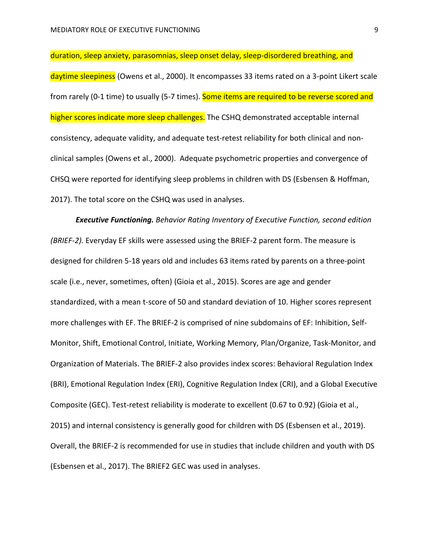duration, sleep anxiety, parasomnias, sleep onset delay, sleep-disordered breathing, and

daytime sleepiness (Owens et al., 2000). It encompasses 33 items rated on a 3-point Likert scale from rarely (0-1 time) to usually (5-7 times). Some items are required to be reverse scored and higher scores indicate more sleep challenges. The CSHQ demonstrated acceptable internal consistency, adequate validity, and adequate test-retest reliability for both clinical and nonclinical samples (Owens et al., 2000). Adequate psychometric properties and convergence of CHSQ were reported for identifying sleep problems in children with DS (Esbensen & Hoffman, 2017). The total score on the CSHQ was used in analyses.

*Executive Functioning. Behavior Rating Inventory of Executive Function, second edition (BRIEF-2).* Everyday EF skills were assessed using the BRIEF-2 parent form. The measure is designed for children 5-18 years old and includes 63 items rated by parents on a three-point scale (i.e., never, sometimes, often) (Gioia et al., 2015). Scores are age and gender standardized, with a mean t-score of 50 and standard deviation of 10. Higher scores represent more challenges with EF. The BRIEF-2 is comprised of nine subdomains of EF: Inhibition, Self-Monitor, Shift, Emotional Control, Initiate, Working Memory, Plan/Organize, Task-Monitor, and Organization of Materials. The BRIEF-2 also provides index scores: Behavioral Regulation Index (BRI), Emotional Regulation Index (ERI), Cognitive Regulation Index (CRI), and a Global Executive Composite (GEC). Test-retest reliability is moderate to excellent (0.67 to 0.92) (Gioia et al., 2015) and internal consistency is generally good for children with DS (Esbensen et al., 2019). Overall, the BRIEF-2 is recommended for use in studies that include children and youth with DS (Esbensen et al., 2017). The BRIEF2 GEC was used in analyses.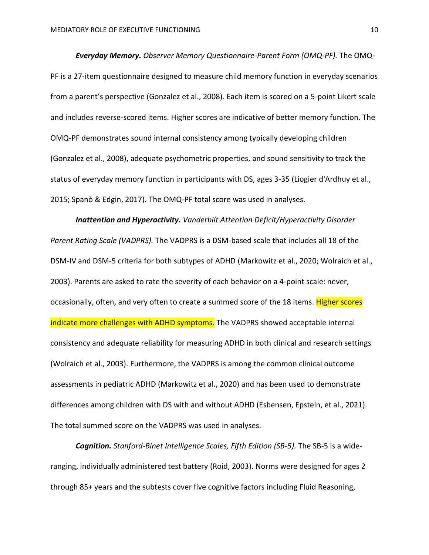*Everyday Memory. Observer Memory Questionnaire-Parent Form (OMQ-PF).* The OMQ-PF is a 27-item questionnaire designed to measure child memory function in everyday scenarios from a parent's perspective (Gonzalez et al., 2008). Each item is scored on a 5-point Likert scale and includes reverse-scored items. Higher scores are indicative of better memory function. The OMQ-PF demonstrates sound internal consistency among typically developing children (Gonzalez et al., 2008), adequate psychometric properties, and sound sensitivity to track the status of everyday memory function in participants with DS, ages 3-35 (Liogier d'Ardhuy et al., 2015; Spanò & Edgin, 2017). The OMQ-PF total score was used in analyses.

*Inattention and Hyperactivity. Vanderbilt Attention Deficit/Hyperactivity Disorder Parent Rating Scale (VADPRS).* The VADPRS is a DSM-based scale that includes all 18 of the DSM-IV and DSM-5 criteria for both subtypes of ADHD (Markowitz et al., 2020; Wolraich et al., 2003). Parents are asked to rate the severity of each behavior on a 4-point scale: never, occasionally, often, and very often to create a summed score of the 18 items. Higher scores indicate more challenges with ADHD symptoms. The VADPRS showed acceptable internal consistency and adequate reliability for measuring ADHD in both clinical and research settings (Wolraich et al., 2003). Furthermore, the VADPRS is among the common clinical outcome assessments in pediatric ADHD (Markowitz et al., 2020) and has been used to demonstrate differences among children with DS with and without ADHD (Esbensen, Epstein, et al., 2021). The total summed score on the VADPRS was used in analyses.

*Cognition. Stanford-Binet Intelligence Scales, Fifth Edition (SB-5).* The SB-5 is a wideranging, individually administered test battery (Roid, 2003). Norms were designed for ages 2 through 85+ years and the subtests cover five cognitive factors including Fluid Reasoning,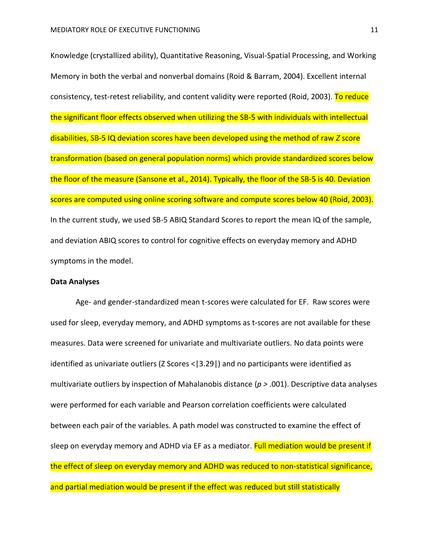Knowledge (crystallized ability), Quantitative Reasoning, Visual-Spatial Processing, and Working Memory in both the verbal and nonverbal domains (Roid & Barram, 2004). Excellent internal consistency, test-retest reliability, and content validity were reported (Roid, 2003). To reduce the significant floor effects observed when utilizing the SB-5 with individuals with intellectual disabilities, SB-5 IQ deviation scores have been developed using the method of raw *Z* score transformation (based on general population norms) which provide standardized scores below the floor of the measure (Sansone et al., 2014). Typically, the floor of the SB-5 is 40. Deviation scores are computed using online scoring software and compute scores below 40 (Roid, 2003). In the current study, we used SB-5 ABIQ Standard Scores to report the mean IQ of the sample, and deviation ABIQ scores to control for cognitive effects on everyday memory and ADHD symptoms in the model.

# **Data Analyses**

Age- and gender-standardized mean t-scores were calculated for EF. Raw scores were used for sleep, everyday memory, and ADHD symptoms as t-scores are not available for these measures. Data were screened for univariate and multivariate outliers. No data points were identified as univariate outliers (Z Scores  $\langle 3.29 \rangle$ ) and no participants were identified as multivariate outliers by inspection of Mahalanobis distance (*p >* .001). Descriptive data analyses were performed for each variable and Pearson correlation coefficients were calculated between each pair of the variables. A path model was constructed to examine the effect of sleep on everyday memory and ADHD via EF as a mediator. **Full mediation would be present if** the effect of sleep on everyday memory and ADHD was reduced to non-statistical significance, and partial mediation would be present if the effect was reduced but still statistically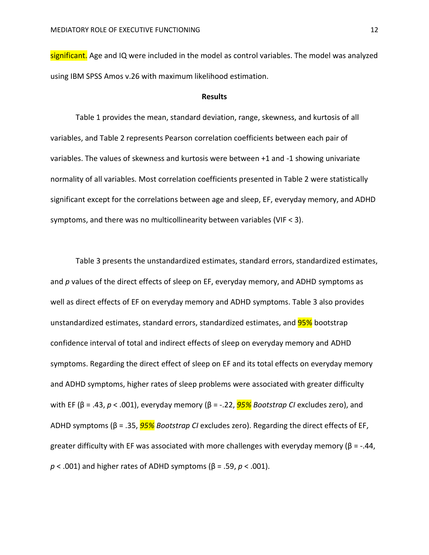significant. Age and IQ were included in the model as control variables. The model was analyzed using IBM SPSS Amos v.26 with maximum likelihood estimation.

#### **Results**

Table 1 provides the mean, standard deviation, range, skewness, and kurtosis of all variables, and Table 2 represents Pearson correlation coefficients between each pair of variables. The values of skewness and kurtosis were between +1 and -1 showing univariate normality of all variables. Most correlation coefficients presented in Table 2 were statistically significant except for the correlations between age and sleep, EF, everyday memory, and ADHD symptoms, and there was no multicollinearity between variables (VIF < 3).

Table 3 presents the unstandardized estimates, standard errors, standardized estimates, and *p* values of the direct effects of sleep on EF, everyday memory, and ADHD symptoms as well as direct effects of EF on everyday memory and ADHD symptoms. Table 3 also provides unstandardized estimates, standard errors, standardized estimates, and **95%** bootstrap confidence interval of total and indirect effects of sleep on everyday memory and ADHD symptoms. Regarding the direct effect of sleep on EF and its total effects on everyday memory and ADHD symptoms, higher rates of sleep problems were associated with greater difficulty with EF (β = .43, *p* < .001), everyday memory (β = -.22, *95% Bootstrap CI* excludes zero), and ADHD symptoms (β = .35, *95% Bootstrap CI* excludes zero). Regarding the direct effects of EF, greater difficulty with EF was associated with more challenges with everyday memory ( $\beta$  = -.44, *p* < .001) and higher rates of ADHD symptoms (β = .59, *p* < .001).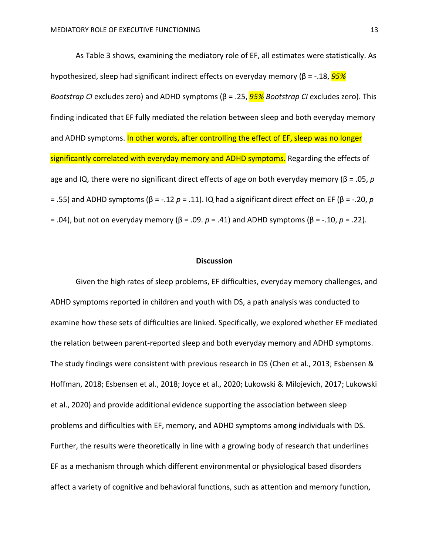As Table 3 shows, examining the mediatory role of EF, all estimates were statistically. As hypothesized, sleep had significant indirect effects on everyday memory (β = -.18, *95% Bootstrap CI* excludes zero) and ADHD symptoms (β = .25, *95% Bootstrap CI* excludes zero). This finding indicated that EF fully mediated the relation between sleep and both everyday memory and ADHD symptoms. In other words, after controlling the effect of EF, sleep was no longer significantly correlated with everyday memory and ADHD symptoms. Regarding the effects of age and IQ, there were no significant direct effects of age on both everyday memory (β = .05, *p* = .55) and ADHD symptoms (β = -.12 *p* = .11). IQ had a significant direct effect on EF (β = -.20, *p* = .04), but not on everyday memory (β = .09. *p* = .41) and ADHD symptoms (β = -.10, *p* = .22).

#### **Discussion**

Given the high rates of sleep problems, EF difficulties, everyday memory challenges, and ADHD symptoms reported in children and youth with DS, a path analysis was conducted to examine how these sets of difficulties are linked. Specifically, we explored whether EF mediated the relation between parent-reported sleep and both everyday memory and ADHD symptoms. The study findings were consistent with previous research in DS (Chen et al., 2013; Esbensen & Hoffman, 2018; Esbensen et al., 2018; Joyce et al., 2020; Lukowski & Milojevich, 2017; Lukowski et al., 2020) and provide additional evidence supporting the association between sleep problems and difficulties with EF, memory, and ADHD symptoms among individuals with DS. Further, the results were theoretically in line with a growing body of research that underlines EF as a mechanism through which different environmental or physiological based disorders affect a variety of cognitive and behavioral functions, such as attention and memory function,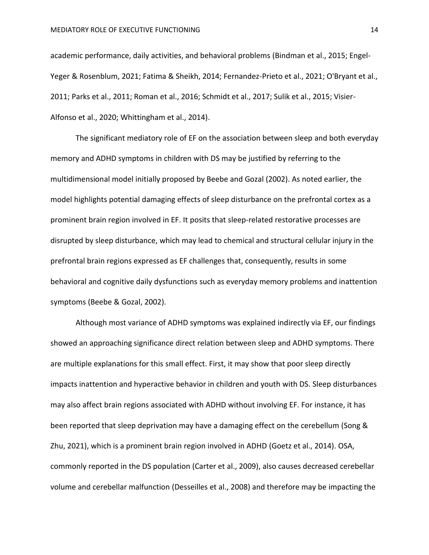academic performance, daily activities, and behavioral problems (Bindman et al., 2015; Engel-Yeger & Rosenblum, 2021; Fatima & Sheikh, 2014; Fernandez-Prieto et al., 2021; O'Bryant et al., 2011; Parks et al., 2011; Roman et al., 2016; Schmidt et al., 2017; Sulik et al., 2015; Visier-Alfonso et al., 2020; Whittingham et al., 2014).

The significant mediatory role of EF on the association between sleep and both everyday memory and ADHD symptoms in children with DS may be justified by referring to the multidimensional model initially proposed by Beebe and Gozal (2002). As noted earlier, the model highlights potential damaging effects of sleep disturbance on the prefrontal cortex as a prominent brain region involved in EF. It posits that sleep-related restorative processes are disrupted by sleep disturbance, which may lead to chemical and structural cellular injury in the prefrontal brain regions expressed as EF challenges that, consequently, results in some behavioral and cognitive daily dysfunctions such as everyday memory problems and inattention symptoms (Beebe & Gozal, 2002).

Although most variance of ADHD symptoms was explained indirectly via EF, our findings showed an approaching significance direct relation between sleep and ADHD symptoms. There are multiple explanations for this small effect. First, it may show that poor sleep directly impacts inattention and hyperactive behavior in children and youth with DS. Sleep disturbances may also affect brain regions associated with ADHD without involving EF. For instance, it has been reported that sleep deprivation may have a damaging effect on the cerebellum (Song & Zhu, 2021), which is a prominent brain region involved in ADHD (Goetz et al., 2014). OSA, commonly reported in the DS population (Carter et al., 2009), also causes decreased cerebellar volume and cerebellar malfunction (Desseilles et al., 2008) and therefore may be impacting the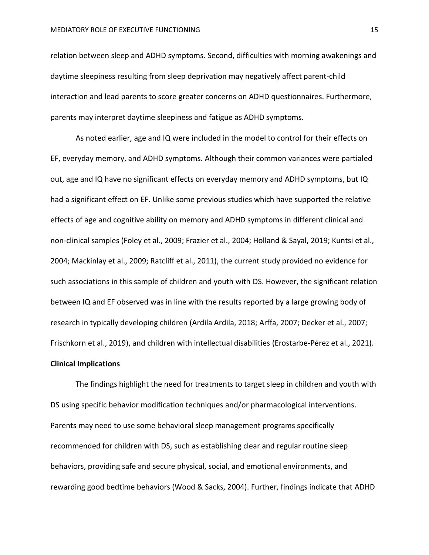relation between sleep and ADHD symptoms. Second, difficulties with morning awakenings and daytime sleepiness resulting from sleep deprivation may negatively affect parent-child interaction and lead parents to score greater concerns on ADHD questionnaires. Furthermore, parents may interpret daytime sleepiness and fatigue as ADHD symptoms.

As noted earlier, age and IQ were included in the model to control for their effects on EF, everyday memory, and ADHD symptoms. Although their common variances were partialed out, age and IQ have no significant effects on everyday memory and ADHD symptoms, but IQ had a significant effect on EF. Unlike some previous studies which have supported the relative effects of age and cognitive ability on memory and ADHD symptoms in different clinical and non-clinical samples (Foley et al., 2009; Frazier et al., 2004; Holland & Sayal, 2019; Kuntsi et al., 2004; Mackinlay et al., 2009; Ratcliff et al., 2011), the current study provided no evidence for such associations in this sample of children and youth with DS. However, the significant relation between IQ and EF observed was in line with the results reported by a large growing body of research in typically developing children (Ardila Ardila, 2018; Arffa, 2007; Decker et al., 2007; Frischkorn et al., 2019), and children with intellectual disabilities (Erostarbe‐Pérez et al., 2021).

# **Clinical Implications**

The findings highlight the need for treatments to target sleep in children and youth with DS using specific behavior modification techniques and/or pharmacological interventions. Parents may need to use some behavioral sleep management programs specifically recommended for children with DS, such as establishing clear and regular routine sleep behaviors, providing safe and secure physical, social, and emotional environments, and rewarding good bedtime behaviors (Wood & Sacks, 2004). Further, findings indicate that ADHD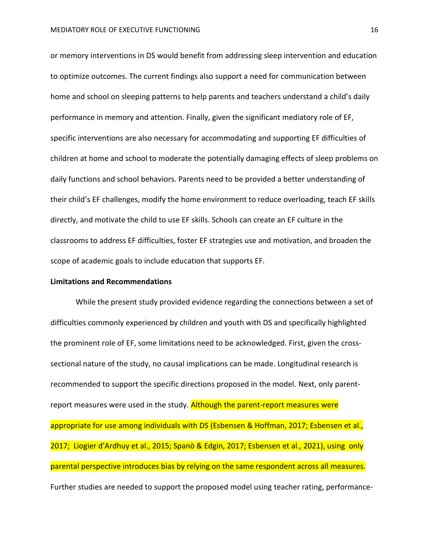or memory interventions in DS would benefit from addressing sleep intervention and education to optimize outcomes. The current findings also support a need for communication between home and school on sleeping patterns to help parents and teachers understand a child's daily performance in memory and attention. Finally, given the significant mediatory role of EF, specific interventions are also necessary for accommodating and supporting EF difficulties of children at home and school to moderate the potentially damaging effects of sleep problems on daily functions and school behaviors. Parents need to be provided a better understanding of their child's EF challenges, modify the home environment to reduce overloading, teach EF skills directly, and motivate the child to use EF skills. Schools can create an EF culture in the classrooms to address EF difficulties, foster EF strategies use and motivation, and broaden the scope of academic goals to include education that supports EF.

#### **Limitations and Recommendations**

While the present study provided evidence regarding the connections between a set of difficulties commonly experienced by children and youth with DS and specifically highlighted the prominent role of EF, some limitations need to be acknowledged. First, given the crosssectional nature of the study, no causal implications can be made. Longitudinal research is recommended to support the specific directions proposed in the model. Next, only parentreport measures were used in the study. Although the parent-report measures were appropriate for use among individuals with DS (Esbensen & Hoffman, 2017; Esbensen et al., 2017; Liogier d'Ardhuy et al., 2015; Spanò & Edgin, 2017; Esbensen et al., 2021), using only parental perspective introduces bias by relying on the same respondent across all measures. Further studies are needed to support the proposed model using teacher rating, performance-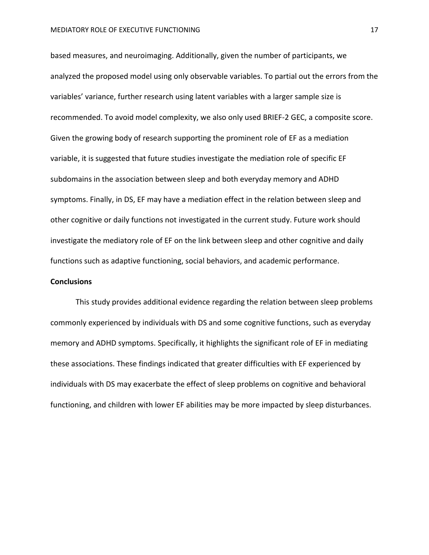based measures, and neuroimaging. Additionally, given the number of participants, we analyzed the proposed model using only observable variables. To partial out the errors from the variables' variance, further research using latent variables with a larger sample size is recommended. To avoid model complexity, we also only used BRIEF-2 GEC, a composite score. Given the growing body of research supporting the prominent role of EF as a mediation variable, it is suggested that future studies investigate the mediation role of specific EF subdomains in the association between sleep and both everyday memory and ADHD symptoms. Finally, in DS, EF may have a mediation effect in the relation between sleep and other cognitive or daily functions not investigated in the current study. Future work should investigate the mediatory role of EF on the link between sleep and other cognitive and daily functions such as adaptive functioning, social behaviors, and academic performance.

# **Conclusions**

This study provides additional evidence regarding the relation between sleep problems commonly experienced by individuals with DS and some cognitive functions, such as everyday memory and ADHD symptoms. Specifically, it highlights the significant role of EF in mediating these associations. These findings indicated that greater difficulties with EF experienced by individuals with DS may exacerbate the effect of sleep problems on cognitive and behavioral functioning, and children with lower EF abilities may be more impacted by sleep disturbances.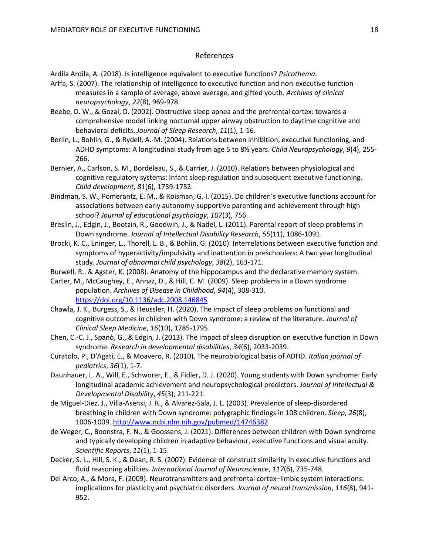#### References

Ardila Ardila, A. (2018). Is intelligence equivalent to executive functions? *Psicothema*.

- Arffa, S. (2007). The relationship of intelligence to executive function and non-executive function measures in a sample of average, above average, and gifted youth. *Archives of clinical neuropsychology*, *22*(8), 969-978.
- Beebe, D. W., & Gozal, D. (2002). Obstructive sleep apnea and the prefrontal cortex: towards a comprehensive model linking nocturnal upper airway obstruction to daytime cognitive and behavioral deficits. *Journal of Sleep Research*, *11*(1), 1-16.
- Berlin, L., Bohlin, G., & Rydell, A.-M. (2004). Relations between inhibition, executive functioning, and ADHD symptoms: A longitudinal study from age 5 to 8½ years. *Child Neuropsychology*, *9*(4), 255- 266.
- Bernier, A., Carlson, S. M., Bordeleau, S., & Carrier, J. (2010). Relations between physiological and cognitive regulatory systems: Infant sleep regulation and subsequent executive functioning. *Child development*, *81*(6), 1739-1752.
- Bindman, S. W., Pomerantz, E. M., & Roisman, G. I. (2015). Do children's executive functions account for associations between early autonomy-supportive parenting and achievement through high school? *Journal of educational psychology*, *107*(3), 756.
- Breslin, J., Edgin, J., Bootzin, R., Goodwin, J., & Nadel, L. (2011). Parental report of sleep problems in Down syndrome. *Journal of Intellectual Disability Research*, *55*(11), 1086-1091.
- Brocki, K. C., Eninger, L., Thorell, L. B., & Bohlin, G. (2010). Interrelations between executive function and symptoms of hyperactivity/impulsivity and inattention in preschoolers: A two year longitudinal study. *Journal of abnormal child psychology*, *38*(2), 163-171.
- Burwell, R., & Agster, K. (2008). Anatomy of the hippocampus and the declarative memory system.
- Carter, M., McCaughey, E., Annaz, D., & Hill, C. M. (2009). Sleep problems in a Down syndrome population. *Archives of Disease in Childhood*, *94*(4), 308-310. <https://doi.org/10.1136/adc.2008.146845>
- Chawla, J. K., Burgess, S., & Heussler, H. (2020). The impact of sleep problems on functional and cognitive outcomes in children with Down syndrome: a review of the literature. *Journal of Clinical Sleep Medicine*, *16*(10), 1785-1795.
- Chen, C.-C. J., Spanò, G., & Edgin, J. (2013). The impact of sleep disruption on executive function in Down syndrome. *Research in developmental disabilities*, *34*(6), 2033-2039.
- Curatolo, P., D'Agati, E., & Moavero, R. (2010). The neurobiological basis of ADHD. *Italian journal of pediatrics*, *36*(1), 1-7.
- Daunhauer, L. A., Will, E., Schworer, E., & Fidler, D. J. (2020). Young students with Down syndrome: Early longitudinal academic achievement and neuropsychological predictors. *Journal of Intellectual & Developmental Disability*, *45*(3), 211-221.
- de Miguel-Diez, J., Villa-Asensi, J. R., & Alvarez-Sala, J. L. (2003). Prevalence of sleep-disordered breathing in children with Down syndrome: polygraphic findings in 108 children. *Sleep*, *26*(8), 1006-1009.<http://www.ncbi.nlm.nih.gov/pubmed/14746382>
- de Weger, C., Boonstra, F. N., & Goossens, J. (2021). Differences between children with Down syndrome and typically developing children in adaptive behaviour, executive functions and visual acuity. *Scientific Reports*, *11*(1), 1-15.
- Decker, S. L., Hill, S. K., & Dean, R. S. (2007). Evidence of construct similarity in executive functions and fluid reasoning abilities. *International Journal of Neuroscience*, *117*(6), 735-748.
- Del Arco, A., & Mora, F. (2009). Neurotransmitters and prefrontal cortex–limbic system interactions: implications for plasticity and psychiatric disorders. *Journal of neural transmission*, *116*(8), 941- 952.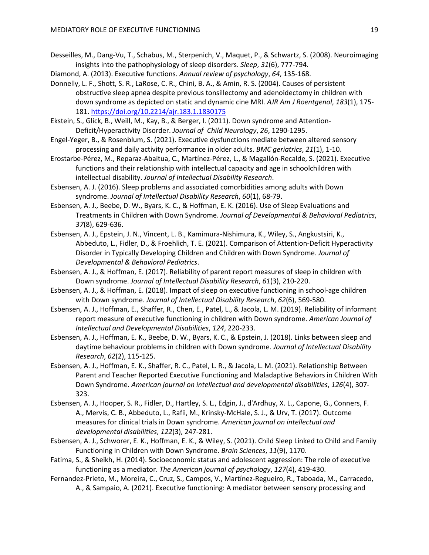- Desseilles, M., Dang-Vu, T., Schabus, M., Sterpenich, V., Maquet, P., & Schwartz, S. (2008). Neuroimaging insights into the pathophysiology of sleep disorders. *Sleep*, *31*(6), 777-794.
- Diamond, A. (2013). Executive functions. *Annual review of psychology*, *64*, 135-168.
- Donnelly, L. F., Shott, S. R., LaRose, C. R., Chini, B. A., & Amin, R. S. (2004). Causes of persistent obstructive sleep apnea despite previous tonsillectomy and adenoidectomy in children with down syndrome as depicted on static and dynamic cine MRI. *AJR Am J Roentgenol*, *183*(1), 175- 181.<https://doi.org/10.2214/ajr.183.1.1830175>
- Ekstein, S., Glick, B., Weill, M., Kay, B., & Berger, I. (2011). Down syndrome and Attention-Deficit/Hyperactivity Disorder. *Journal of Child Neurology*, *26*, 1290-1295.
- Engel-Yeger, B., & Rosenblum, S. (2021). Executive dysfunctions mediate between altered sensory processing and daily activity performance in older adults. *BMC geriatrics*, *21*(1), 1-10.
- Erostarbe‐Pérez, M., Reparaz‐Abaitua, C., Martínez‐Pérez, L., & Magallón‐Recalde, S. (2021). Executive functions and their relationship with intellectual capacity and age in schoolchildren with intellectual disability. *Journal of Intellectual Disability Research*.
- Esbensen, A. J. (2016). Sleep problems and associated comorbidities among adults with Down syndrome. *Journal of Intellectual Disability Research*, *60*(1), 68-79.
- Esbensen, A. J., Beebe, D. W., Byars, K. C., & Hoffman, E. K. (2016). Use of Sleep Evaluations and Treatments in Children with Down Syndrome. *Journal of Developmental & Behavioral Pediatrics*, *37*(8), 629-636.
- Esbensen, A. J., Epstein, J. N., Vincent, L. B., Kamimura-Nishimura, K., Wiley, S., Angkustsiri, K., Abbeduto, L., Fidler, D., & Froehlich, T. E. (2021). Comparison of Attention-Deficit Hyperactivity Disorder in Typically Developing Children and Children with Down Syndrome. *Journal of Developmental & Behavioral Pediatrics*.
- Esbensen, A. J., & Hoffman, E. (2017). Reliability of parent report measures of sleep in children with Down syndrome. *Journal of Intellectual Disability Research*, *61*(3), 210-220.
- Esbensen, A. J., & Hoffman, E. (2018). Impact of sleep on executive functioning in school‐age children with Down syndrome. *Journal of Intellectual Disability Research*, *62*(6), 569-580.
- Esbensen, A. J., Hoffman, E., Shaffer, R., Chen, E., Patel, L., & Jacola, L. M. (2019). Reliability of informant report measure of executive functioning in children with Down syndrome. *American Journal of Intellectual and Developmental Disabilities*, *124*, 220-233.
- Esbensen, A. J., Hoffman, E. K., Beebe, D. W., Byars, K. C., & Epstein, J. (2018). Links between sleep and daytime behaviour problems in children with Down syndrome. *Journal of Intellectual Disability Research*, *62*(2), 115-125.
- Esbensen, A. J., Hoffman, E. K., Shaffer, R. C., Patel, L. R., & Jacola, L. M. (2021). Relationship Between Parent and Teacher Reported Executive Functioning and Maladaptive Behaviors in Children With Down Syndrome. *American journal on intellectual and developmental disabilities*, *126*(4), 307- 323.
- Esbensen, A. J., Hooper, S. R., Fidler, D., Hartley, S. L., Edgin, J., d'Ardhuy, X. L., Capone, G., Conners, F. A., Mervis, C. B., Abbeduto, L., Rafii, M., Krinsky-McHale, S. J., & Urv, T. (2017). Outcome measures for clinical trials in Down syndrome. *American journal on intellectual and developmental disabilities*, *122*(3), 247-281.
- Esbensen, A. J., Schworer, E. K., Hoffman, E. K., & Wiley, S. (2021). Child Sleep Linked to Child and Family Functioning in Children with Down Syndrome. *Brain Sciences*, *11*(9), 1170.
- Fatima, S., & Sheikh, H. (2014). Socioeconomic status and adolescent aggression: The role of executive functioning as a mediator. *The American journal of psychology*, *127*(4), 419-430.
- Fernandez-Prieto, M., Moreira, C., Cruz, S., Campos, V., Martínez-Regueiro, R., Taboada, M., Carracedo, A., & Sampaio, A. (2021). Executive functioning: A mediator between sensory processing and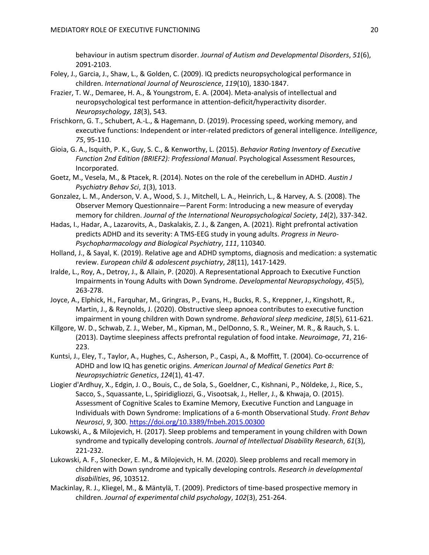behaviour in autism spectrum disorder. *Journal of Autism and Developmental Disorders*, *51*(6), 2091-2103.

- Foley, J., Garcia, J., Shaw, L., & Golden, C. (2009). IQ predicts neuropsychological performance in children. *International Journal of Neuroscience*, *119*(10), 1830-1847.
- Frazier, T. W., Demaree, H. A., & Youngstrom, E. A. (2004). Meta-analysis of intellectual and neuropsychological test performance in attention-deficit/hyperactivity disorder. *Neuropsychology*, *18*(3), 543.
- Frischkorn, G. T., Schubert, A.-L., & Hagemann, D. (2019). Processing speed, working memory, and executive functions: Independent or inter-related predictors of general intelligence. *Intelligence*, *75*, 95-110.
- Gioia, G. A., Isquith, P. K., Guy, S. C., & Kenworthy, L. (2015). *Behavior Rating Inventory of Executive Function 2nd Edition (BRIEF2): Professional Manual*. Psychological Assessment Resources, Incorporated.
- Goetz, M., Vesela, M., & Ptacek, R. (2014). Notes on the role of the cerebellum in ADHD. *Austin J Psychiatry Behav Sci*, *1*(3), 1013.
- Gonzalez, L. M., Anderson, V. A., Wood, S. J., Mitchell, L. A., Heinrich, L., & Harvey, A. S. (2008). The Observer Memory Questionnaire—Parent Form: Introducing a new measure of everyday memory for children. *Journal of the International Neuropsychological Society*, *14*(2), 337-342.
- Hadas, I., Hadar, A., Lazarovits, A., Daskalakis, Z. J., & Zangen, A. (2021). Right prefrontal activation predicts ADHD and its severity: A TMS-EEG study in young adults. *Progress in Neuro-Psychopharmacology and Biological Psychiatry*, *111*, 110340.
- Holland, J., & Sayal, K. (2019). Relative age and ADHD symptoms, diagnosis and medication: a systematic review. *European child & adolescent psychiatry*, *28*(11), 1417-1429.
- Iralde, L., Roy, A., Detroy, J., & Allain, P. (2020). A Representational Approach to Executive Function Impairments in Young Adults with Down Syndrome. *Developmental Neuropsychology*, *45*(5), 263-278.
- Joyce, A., Elphick, H., Farquhar, M., Gringras, P., Evans, H., Bucks, R. S., Kreppner, J., Kingshott, R., Martin, J., & Reynolds, J. (2020). Obstructive sleep apnoea contributes to executive function impairment in young children with Down syndrome. *Behavioral sleep medicine*, *18*(5), 611-621.
- Killgore, W. D., Schwab, Z. J., Weber, M., Kipman, M., DelDonno, S. R., Weiner, M. R., & Rauch, S. L. (2013). Daytime sleepiness affects prefrontal regulation of food intake. *Neuroimage*, *71*, 216- 223.
- Kuntsi, J., Eley, T., Taylor, A., Hughes, C., Asherson, P., Caspi, A., & Moffitt, T. (2004). Co‐occurrence of ADHD and low IQ has genetic origins. *American Journal of Medical Genetics Part B: Neuropsychiatric Genetics*, *124*(1), 41-47.
- Liogier d'Ardhuy, X., Edgin, J. O., Bouis, C., de Sola, S., Goeldner, C., Kishnani, P., Nöldeke, J., Rice, S., Sacco, S., Squassante, L., Spiridigliozzi, G., Visootsak, J., Heller, J., & Khwaja, O. (2015). Assessment of Cognitive Scales to Examine Memory, Executive Function and Language in Individuals with Down Syndrome: Implications of a 6-month Observational Study. *Front Behav Neurosci*, *9*, 300.<https://doi.org/10.3389/fnbeh.2015.00300>
- Lukowski, A., & Milojevich, H. (2017). Sleep problems and temperament in young children with Down syndrome and typically developing controls. *Journal of Intellectual Disability Research*, *61*(3), 221-232.
- Lukowski, A. F., Slonecker, E. M., & Milojevich, H. M. (2020). Sleep problems and recall memory in children with Down syndrome and typically developing controls. *Research in developmental disabilities*, *96*, 103512.
- Mackinlay, R. J., Kliegel, M., & Mäntylä, T. (2009). Predictors of time-based prospective memory in children. *Journal of experimental child psychology*, *102*(3), 251-264.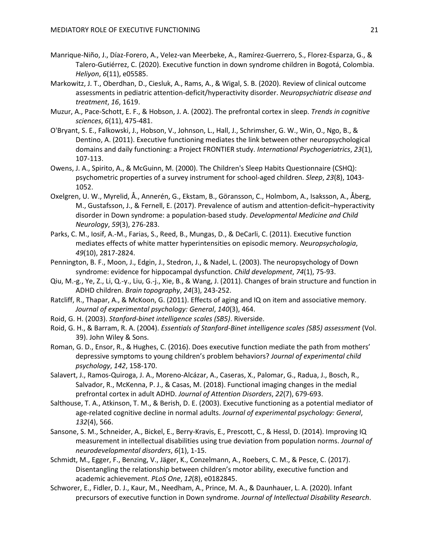- Manrique-Niño, J., Díaz-Forero, A., Velez-van Meerbeke, A., Ramírez-Guerrero, S., Florez-Esparza, G., & Talero-Gutiérrez, C. (2020). Executive function in down syndrome children in Bogotá, Colombia. *Heliyon*, *6*(11), e05585.
- Markowitz, J. T., Oberdhan, D., Ciesluk, A., Rams, A., & Wigal, S. B. (2020). Review of clinical outcome assessments in pediatric attention-deficit/hyperactivity disorder. *Neuropsychiatric disease and treatment*, *16*, 1619.
- Muzur, A., Pace-Schott, E. F., & Hobson, J. A. (2002). The prefrontal cortex in sleep. *Trends in cognitive sciences*, *6*(11), 475-481.
- O'Bryant, S. E., Falkowski, J., Hobson, V., Johnson, L., Hall, J., Schrimsher, G. W., Win, O., Ngo, B., & Dentino, A. (2011). Executive functioning mediates the link between other neuropsychological domains and daily functioning: a Project FRONTIER study. *International Psychogeriatrics*, *23*(1), 107-113.
- Owens, J. A., Spirito, A., & McGuinn, M. (2000). The Children's Sleep Habits Questionnaire (CSHQ): psychometric properties of a survey instrument for school-aged children. *Sleep*, *23*(8), 1043- 1052.
- Oxelgren, U. W., Myrelid, Å., Annerén, G., Ekstam, B., Göransson, C., Holmbom, A., Isaksson, A., Åberg, M., Gustafsson, J., & Fernell, E. (2017). Prevalence of autism and attention‐deficit–hyperactivity disorder in Down syndrome: a population‐based study. *Developmental Medicine and Child Neurology*, *59*(3), 276-283.
- Parks, C. M., Iosif, A.-M., Farias, S., Reed, B., Mungas, D., & DeCarli, C. (2011). Executive function mediates effects of white matter hyperintensities on episodic memory. *Neuropsychologia*, *49*(10), 2817-2824.
- Pennington, B. F., Moon, J., Edgin, J., Stedron, J., & Nadel, L. (2003). The neuropsychology of Down syndrome: evidence for hippocampal dysfunction. *Child development*, *74*(1), 75-93.
- Qiu, M.-g., Ye, Z., Li, Q.-y., Liu, G.-j., Xie, B., & Wang, J. (2011). Changes of brain structure and function in ADHD children. *Brain topography*, *24*(3), 243-252.
- Ratcliff, R., Thapar, A., & McKoon, G. (2011). Effects of aging and IQ on item and associative memory. *Journal of experimental psychology: General*, *140*(3), 464.
- Roid, G. H. (2003). *Stanford-binet intelligence scales (SB5)*. Riverside.
- Roid, G. H., & Barram, R. A. (2004). *Essentials of Stanford-Binet intelligence scales (SB5) assessment* (Vol. 39). John Wiley & Sons.
- Roman, G. D., Ensor, R., & Hughes, C. (2016). Does executive function mediate the path from mothers' depressive symptoms to young children's problem behaviors? *Journal of experimental child psychology*, *142*, 158-170.
- Salavert, J., Ramos-Quiroga, J. A., Moreno-Alcázar, A., Caseras, X., Palomar, G., Radua, J., Bosch, R., Salvador, R., McKenna, P. J., & Casas, M. (2018). Functional imaging changes in the medial prefrontal cortex in adult ADHD. *Journal of Attention Disorders*, *22*(7), 679-693.
- Salthouse, T. A., Atkinson, T. M., & Berish, D. E. (2003). Executive functioning as a potential mediator of age-related cognitive decline in normal adults. *Journal of experimental psychology: General*, *132*(4), 566.
- Sansone, S. M., Schneider, A., Bickel, E., Berry-Kravis, E., Prescott, C., & Hessl, D. (2014). Improving IQ measurement in intellectual disabilities using true deviation from population norms. *Journal of neurodevelopmental disorders*, *6*(1), 1-15.
- Schmidt, M., Egger, F., Benzing, V., Jäger, K., Conzelmann, A., Roebers, C. M., & Pesce, C. (2017). Disentangling the relationship between children's motor ability, executive function and academic achievement. *PLoS One*, *12*(8), e0182845.
- Schworer, E., Fidler, D. J., Kaur, M., Needham, A., Prince, M. A., & Daunhauer, L. A. (2020). Infant precursors of executive function in Down syndrome. *Journal of Intellectual Disability Research*.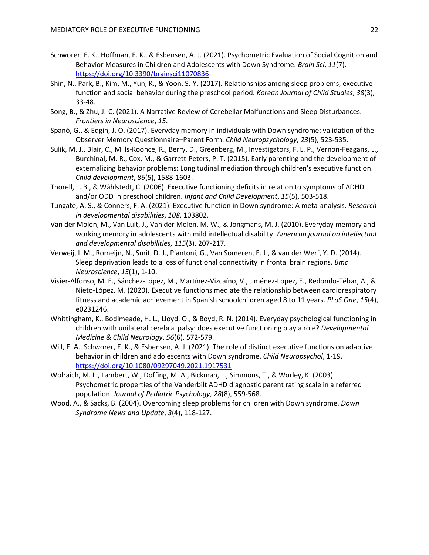- Schworer, E. K., Hoffman, E. K., & Esbensen, A. J. (2021). Psychometric Evaluation of Social Cognition and Behavior Measures in Children and Adolescents with Down Syndrome. *Brain Sci*, *11*(7). <https://doi.org/10.3390/brainsci11070836>
- Shin, N., Park, B., Kim, M., Yun, K., & Yoon, S.-Y. (2017). Relationships among sleep problems, executive function and social behavior during the preschool period. *Korean Journal of Child Studies*, *38*(3), 33-48.
- Song, B., & Zhu, J.-C. (2021). A Narrative Review of Cerebellar Malfunctions and Sleep Disturbances. *Frontiers in Neuroscience*, *15*.
- Spanò, G., & Edgin, J. O. (2017). Everyday memory in individuals with Down syndrome: validation of the Observer Memory Questionnaire–Parent Form. *Child Neuropsychology*, *23*(5), 523-535.
- Sulik, M. J., Blair, C., Mills‐Koonce, R., Berry, D., Greenberg, M., Investigators, F. L. P., Vernon‐Feagans, L., Burchinal, M. R., Cox, M., & Garrett‐Peters, P. T. (2015). Early parenting and the development of externalizing behavior problems: Longitudinal mediation through children's executive function. *Child development*, *86*(5), 1588-1603.
- Thorell, L. B., & Wåhlstedt, C. (2006). Executive functioning deficits in relation to symptoms of ADHD and/or ODD in preschool children. *Infant and Child Development*, *15*(5), 503-518.
- Tungate, A. S., & Conners, F. A. (2021). Executive function in Down syndrome: A meta-analysis. *Research in developmental disabilities*, *108*, 103802.
- Van der Molen, M., Van Luit, J., Van der Molen, M. W., & Jongmans, M. J. (2010). Everyday memory and working memory in adolescents with mild intellectual disability. *American journal on intellectual and developmental disabilities*, *115*(3), 207-217.
- Verweij, I. M., Romeijn, N., Smit, D. J., Piantoni, G., Van Someren, E. J., & van der Werf, Y. D. (2014). Sleep deprivation leads to a loss of functional connectivity in frontal brain regions. *Bmc Neuroscience*, *15*(1), 1-10.
- Visier-Alfonso, M. E., Sánchez-López, M., Martínez-Vizcaíno, V., Jiménez-López, E., Redondo-Tébar, A., & Nieto-López, M. (2020). Executive functions mediate the relationship between cardiorespiratory fitness and academic achievement in Spanish schoolchildren aged 8 to 11 years. *PLoS One*, *15*(4), e0231246.
- Whittingham, K., Bodimeade, H. L., Lloyd, O., & Boyd, R. N. (2014). Everyday psychological functioning in children with unilateral cerebral palsy: does executive functioning play a role? *Developmental Medicine & Child Neurology*, *56*(6), 572-579.
- Will, E. A., Schworer, E. K., & Esbensen, A. J. (2021). The role of distinct executive functions on adaptive behavior in children and adolescents with Down syndrome. *Child Neuropsychol*, 1-19. <https://doi.org/10.1080/09297049.2021.1917531>
- Wolraich, M. L., Lambert, W., Doffing, M. A., Bickman, L., Simmons, T., & Worley, K. (2003). Psychometric properties of the Vanderbilt ADHD diagnostic parent rating scale in a referred population. *Journal of Pediatric Psychology*, *28*(8), 559-568.
- Wood, A., & Sacks, B. (2004). Overcoming sleep problems for children with Down syndrome. *Down Syndrome News and Update*, *3*(4), 118-127.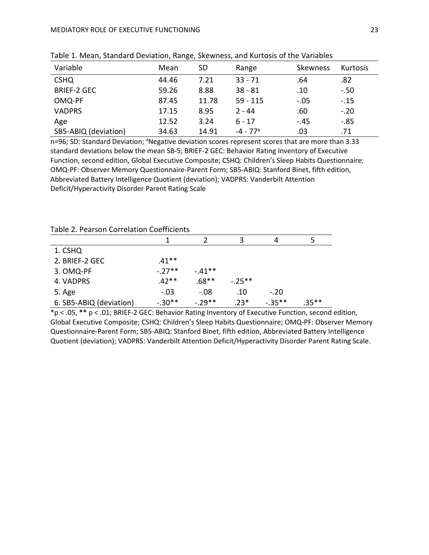| Variable             | Mean  | SD    | Range                  | Skewness | Kurtosis |
|----------------------|-------|-------|------------------------|----------|----------|
| <b>CSHQ</b>          | 44.46 | 7.21  | $33 - 71$              | .64      | .82      |
| <b>BRIEF-2 GEC</b>   | 59.26 | 8.88  | $38 - 81$              | .10      | $-.50$   |
| OMQ-PF               | 87.45 | 11.78 | $59 - 115$             | $-.05$   | $-.15$   |
| <b>VADPRS</b>        | 17.15 | 8.95  | $2 - 44$               | .60      | $-.20$   |
| Age                  | 12.52 | 3.24  | $6 - 17$               | $-.45$   | $-0.85$  |
| SB5-ABIQ (deviation) | 34.63 | 14.91 | $-4 - 77$ <sup>a</sup> | .03      | .71      |

Table 1. Mean, Standard Deviation, Range, Skewness, and Kurtosis of the Variables

n=96; SD: Standard Deviation; <sup>a</sup>Negative deviation scores represent scores that are more than 3.33 standard deviations below the mean SB-5; BRIEF-2 GEC: Behavior Rating Inventory of Executive Function, second edition, Global Executive Composite; CSHQ: Children's Sleep Habits Questionnaire; OMQ-PF: Observer Memory Questionnaire-Parent Form; SB5-ABIQ: Stanford Binet, fifth edition, Abbreviated Battery Intelligence Quotient (deviation); VADPRS: Vanderbilt Attention Deficit/Hyperactivity Disorder Parent Rating Scale

| Table 2. Pearson Correlation Coefficients |  |
|-------------------------------------------|--|
|-------------------------------------------|--|

| TUNIC LI CUIJON CONCIUNTON COCHICICITI |          |          |           |          |       |  |  |
|----------------------------------------|----------|----------|-----------|----------|-------|--|--|
|                                        |          |          | 3         | 4        |       |  |  |
| 1. CSHQ                                |          |          |           |          |       |  |  |
| 2. BRIEF-2 GEC                         | $.41**$  |          |           |          |       |  |  |
| 3. OMQ-PF                              | $-.27**$ | $-.41**$ |           |          |       |  |  |
| 4. VADPRS                              | $.42**$  | $.68**$  | $-.25***$ |          |       |  |  |
| 5. Age                                 | $-.03$   | $-.08$   | .10       | $-.20$   |       |  |  |
| 6. SB5-ABIQ (deviation)                | $-.30**$ | $-.29**$ | $.23*$    | $-.35**$ | .35** |  |  |

\*p < .05, **\*\*** p < .01; BRIEF-2 GEC: Behavior Rating Inventory of Executive Function, second edition, Global Executive Composite; CSHQ: Children's Sleep Habits Questionnaire; OMQ-PF: Observer Memory Questionnaire-Parent Form; SB5-ABIQ: Stanford Binet, fifth edition, Abbreviated Battery Intelligence Quotient (deviation); VADPRS: Vanderbilt Attention Deficit/Hyperactivity Disorder Parent Rating Scale.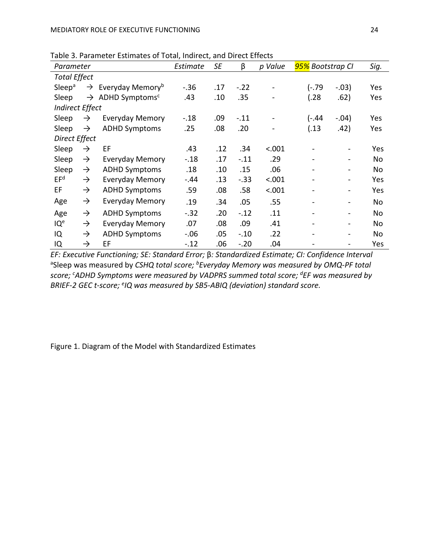Table 3. Parameter Estimates of Total, Indirect, and Direct Effects

| Parameter           |                        |                                            | Estimate | SE  | β      | p Value                      | 95% Bootstrap Cl             |                          | Sig. |
|---------------------|------------------------|--------------------------------------------|----------|-----|--------|------------------------------|------------------------------|--------------------------|------|
| <b>Total Effect</b> |                        |                                            |          |     |        |                              |                              |                          |      |
| Sleep <sup>a</sup>  |                        | $\rightarrow$ Everyday Memory <sup>b</sup> | $-.36$   | .17 | $-.22$ | $\qquad \qquad \blacksquare$ | $(-.79)$                     | $-.03)$                  | Yes  |
| Sleep               |                        | $\rightarrow$ ADHD Symptoms <sup>c</sup>   | .43      | .10 | .35    |                              | (.28)                        | .62)                     | Yes  |
|                     | <b>Indirect Effect</b> |                                            |          |     |        |                              |                              |                          |      |
| Sleep               | $\rightarrow$          | <b>Everyday Memory</b>                     | $-.18$   | .09 | $-.11$ |                              | (-.44                        | $-.04)$                  | Yes  |
| Sleep               | $\rightarrow$          | <b>ADHD Symptoms</b>                       | .25      | .08 | .20    |                              | (.13)                        | .42)                     | Yes  |
| Direct Effect       |                        |                                            |          |     |        |                              |                              |                          |      |
| Sleep               | $\rightarrow$          | EF                                         | .43      | .12 | .34    | < .001                       |                              |                          | Yes  |
| Sleep               | $\rightarrow$          | <b>Everyday Memory</b>                     | $-.18$   | .17 | $-.11$ | .29                          |                              | $\overline{\phantom{0}}$ | No   |
| Sleep               | $\rightarrow$          | <b>ADHD Symptoms</b>                       | .18      | .10 | .15    | .06                          |                              |                          | No   |
| EF <sup>d</sup>     | $\rightarrow$          | <b>Everyday Memory</b>                     | $-.44$   | .13 | $-.33$ | < .001                       |                              | -                        | Yes  |
| EF                  | $\rightarrow$          | <b>ADHD Symptoms</b>                       | .59      | .08 | .58    | < .001                       |                              | -                        | Yes  |
| Age                 | $\rightarrow$          | <b>Everyday Memory</b>                     | .19      | .34 | .05    | .55                          | $\qquad \qquad \blacksquare$ | -                        | No   |
| Age                 | $\rightarrow$          | <b>ADHD Symptoms</b>                       | $-.32$   | .20 | $-12$  | .11                          |                              | $\overline{\phantom{0}}$ | No   |
| IQ <sup>e</sup>     | $\rightarrow$          | <b>Everyday Memory</b>                     | .07      | .08 | .09    | .41                          |                              | -                        | No   |
| IQ                  | $\rightarrow$          | <b>ADHD Symptoms</b>                       | $-.06$   | .05 | $-.10$ | .22                          |                              | -                        | No   |
| IQ                  | $\rightarrow$          | EF                                         | $-.12$   | .06 | $-.20$ | .04                          |                              |                          | Yes  |

*EF: Executive Functioning; SE: Standard Error;* β*: Standardized Estimate; CI: Confidence Interval* <sup>a</sup>Sleep was measured by *CSHQ total score; <sup>b</sup>Everyday Memory was measured by OMQ-PF total score; <sup>c</sup>ADHD Symptoms were measured by VADPRS summed total score; <sup>d</sup>EF was measured by BRIEF-2 GEC t-score; <sup>e</sup> IQ was measured by SB5-ABIQ (deviation) standard score.*

Figure 1. Diagram of the Model with Standardized Estimates